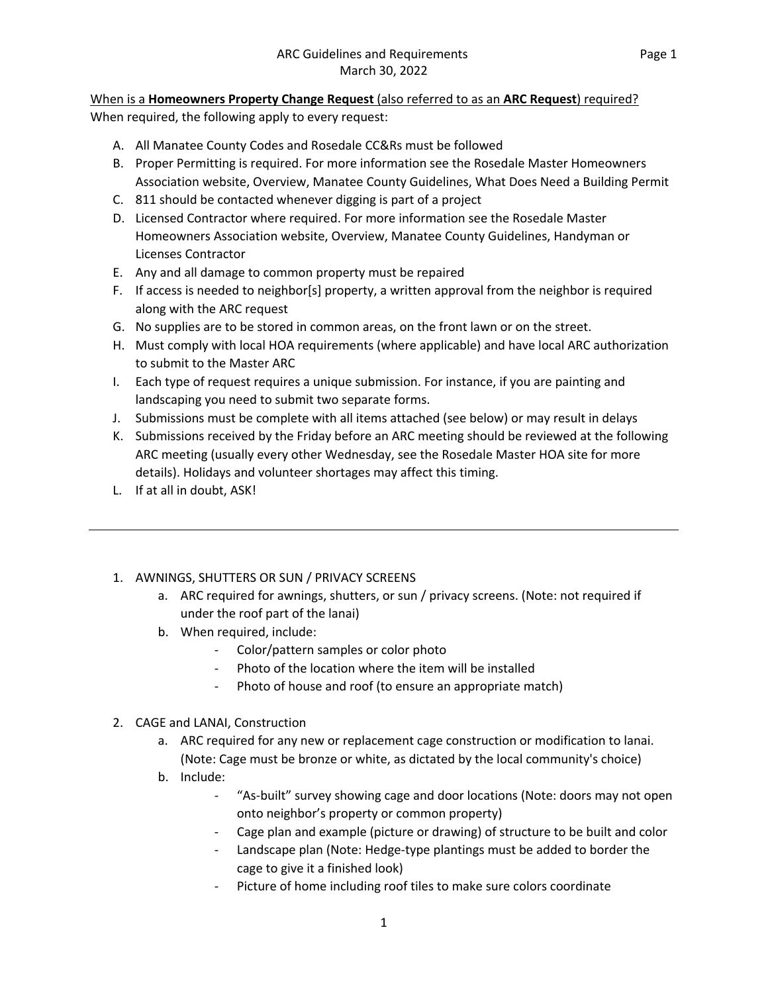### When is a **Homeowners Property Change Request** (also referred to as an **ARC Request**) required?

When required, the following apply to every request:

- A. All Manatee County Codes and Rosedale CC&Rs must be followed
- B. Proper Permitting is required. For more information see the Rosedale Master Homeowners Association website, Overview, Manatee County Guidelines, What Does Need a Building Permit
- C. 811 should be contacted whenever digging is part of a project
- D. Licensed Contractor where required. For more information see the Rosedale Master Homeowners Association website, Overview, Manatee County Guidelines, Handyman or Licenses Contractor
- E. Any and all damage to common property must be repaired
- F. If access is needed to neighbor[s] property, a written approval from the neighbor is required along with the ARC request
- G. No supplies are to be stored in common areas, on the front lawn or on the street.
- H. Must comply with local HOA requirements (where applicable) and have local ARC authorization to submit to the Master ARC
- I. Each type of request requires a unique submission. For instance, if you are painting and landscaping you need to submit two separate forms.
- J. Submissions must be complete with all items attached (see below) or may result in delays
- K. Submissions received by the Friday before an ARC meeting should be reviewed at the following ARC meeting (usually every other Wednesday, see the Rosedale Master HOA site for more details). Holidays and volunteer shortages may affect this timing.
- L. If at all in doubt, ASK!
- 1. AWNINGS, SHUTTERS OR SUN / PRIVACY SCREENS
	- a. ARC required for awnings, shutters, or sun / privacy screens. (Note: not required if under the roof part of the lanai)
	- b. When required, include:
		- Color/pattern samples or color photo
		- Photo of the location where the item will be installed
		- Photo of house and roof (to ensure an appropriate match)
- 2. CAGE and LANAI, Construction
	- a. ARC required for any new or replacement cage construction or modification to lanai. (Note: Cage must be bronze or white, as dictated by the local community's choice)
	- b. Include:
		- "As-built" survey showing cage and door locations (Note: doors may not open onto neighbor's property or common property)
		- Cage plan and example (picture or drawing) of structure to be built and color
		- Landscape plan (Note: Hedge-type plantings must be added to border the cage to give it a finished look)
		- Picture of home including roof tiles to make sure colors coordinate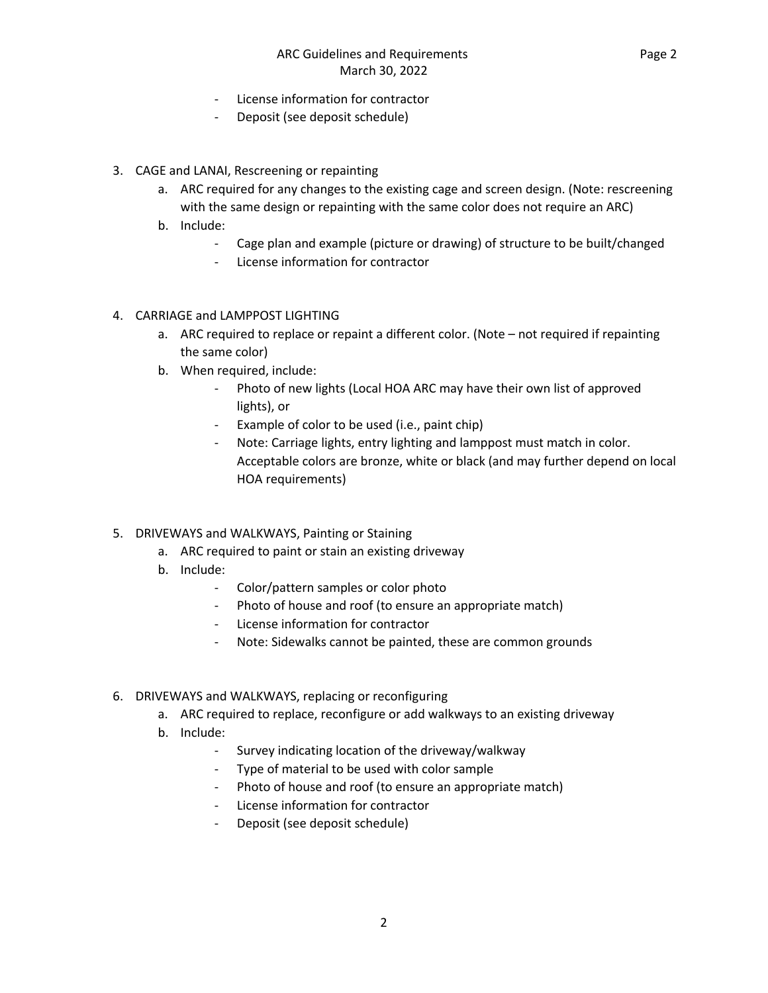Page 2

- License information for contractor
- Deposit (see deposit schedule)
- 3. CAGE and LANAI, Rescreening or repainting
	- a. ARC required for any changes to the existing cage and screen design. (Note: rescreening with the same design or repainting with the same color does not require an ARC)
	- b. Include:
		- Cage plan and example (picture or drawing) of structure to be built/changed
		- License information for contractor
- 4. CARRIAGE and LAMPPOST LIGHTING
	- a. ARC required to replace or repaint a different color. (Note not required if repainting the same color)
	- b. When required, include:
		- Photo of new lights (Local HOA ARC may have their own list of approved lights), or
		- Example of color to be used (i.e., paint chip)
		- Note: Carriage lights, entry lighting and lamppost must match in color. Acceptable colors are bronze, white or black (and may further depend on local HOA requirements)
- 5. DRIVEWAYS and WALKWAYS, Painting or Staining
	- a. ARC required to paint or stain an existing driveway
	- b. Include:
		- Color/pattern samples or color photo
		- Photo of house and roof (to ensure an appropriate match)
		- License information for contractor
		- Note: Sidewalks cannot be painted, these are common grounds
- 6. DRIVEWAYS and WALKWAYS, replacing or reconfiguring
	- a. ARC required to replace, reconfigure or add walkways to an existing driveway
	- b. Include:
		- Survey indicating location of the driveway/walkway
		- Type of material to be used with color sample
		- Photo of house and roof (to ensure an appropriate match)
		- License information for contractor
		- Deposit (see deposit schedule)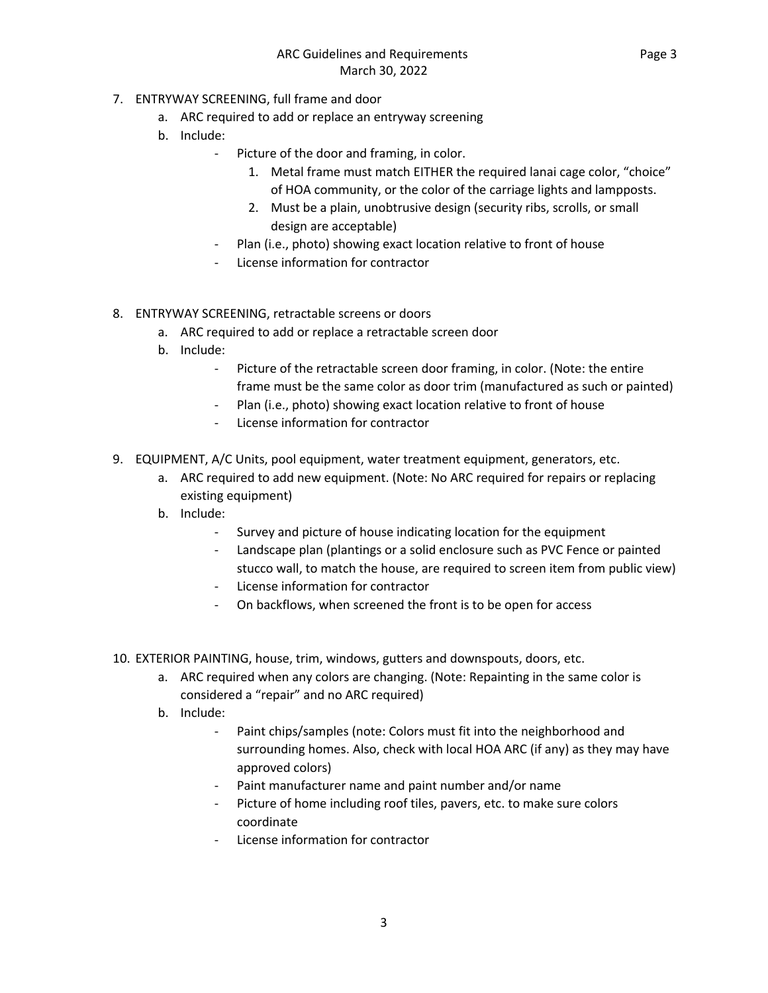- 7. ENTRYWAY SCREENING, full frame and door
	- a. ARC required to add or replace an entryway screening
	- b. Include:
		- Picture of the door and framing, in color.
			- 1. Metal frame must match EITHER the required lanai cage color, "choice" of HOA community, or the color of the carriage lights and lampposts.
			- 2. Must be a plain, unobtrusive design (security ribs, scrolls, or small design are acceptable)
		- Plan (i.e., photo) showing exact location relative to front of house
		- License information for contractor
- 8. ENTRYWAY SCREENING, retractable screens or doors
	- a. ARC required to add or replace a retractable screen door
	- b. Include:
		- Picture of the retractable screen door framing, in color. (Note: the entire frame must be the same color as door trim (manufactured as such or painted)
		- Plan (i.e., photo) showing exact location relative to front of house
		- License information for contractor
- 9. EQUIPMENT, A/C Units, pool equipment, water treatment equipment, generators, etc.
	- a. ARC required to add new equipment. (Note: No ARC required for repairs or replacing existing equipment)
	- b. Include:
		- Survey and picture of house indicating location for the equipment
		- Landscape plan (plantings or a solid enclosure such as PVC Fence or painted stucco wall, to match the house, are required to screen item from public view)
		- License information for contractor
		- On backflows, when screened the front is to be open for access
- 10. EXTERIOR PAINTING, house, trim, windows, gutters and downspouts, doors, etc.
	- a. ARC required when any colors are changing. (Note: Repainting in the same color is considered a "repair" and no ARC required)
	- b. Include:
		- Paint chips/samples (note: Colors must fit into the neighborhood and surrounding homes. Also, check with local HOA ARC (if any) as they may have approved colors)
		- Paint manufacturer name and paint number and/or name
		- Picture of home including roof tiles, pavers, etc. to make sure colors coordinate
		- License information for contractor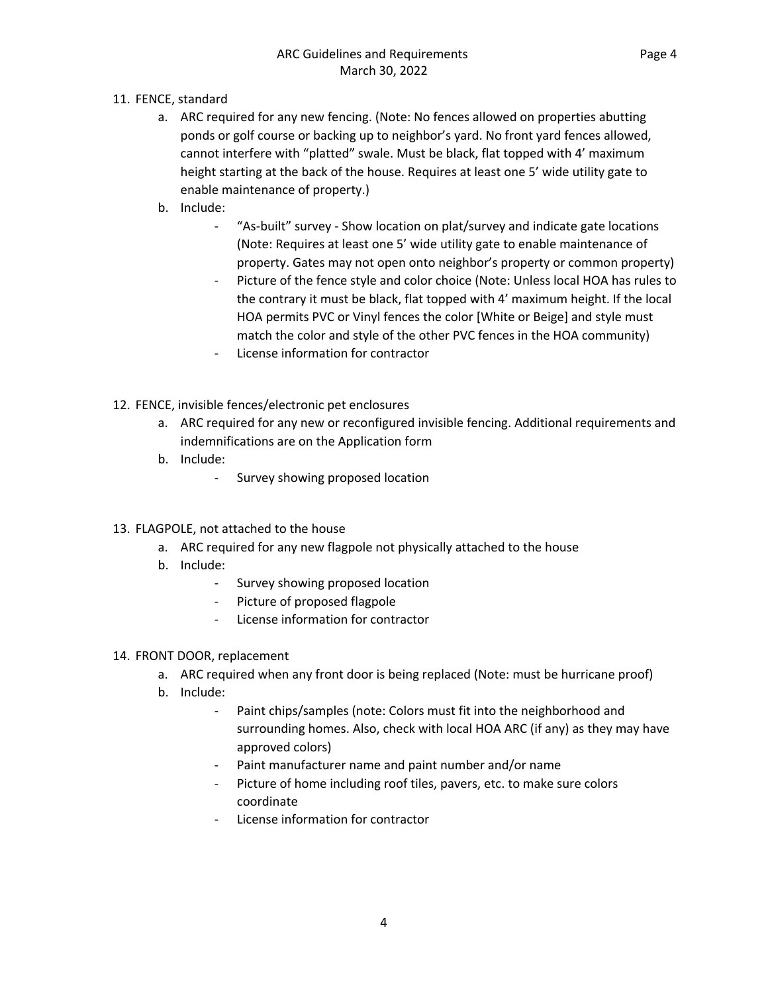- 11. FENCE, standard
	- a. ARC required for any new fencing. (Note: No fences allowed on properties abutting ponds or golf course or backing up to neighbor's yard. No front yard fences allowed, cannot interfere with "platted" swale. Must be black, flat topped with 4' maximum height starting at the back of the house. Requires at least one 5' wide utility gate to enable maintenance of property.)
	- b. Include:
		- "As-built" survey Show location on plat/survey and indicate gate locations (Note: Requires at least one 5' wide utility gate to enable maintenance of property. Gates may not open onto neighbor's property or common property)
		- Picture of the fence style and color choice (Note: Unless local HOA has rules to the contrary it must be black, flat topped with 4' maximum height. If the local HOA permits PVC or Vinyl fences the color [White or Beige] and style must match the color and style of the other PVC fences in the HOA community)
		- License information for contractor
- 12. FENCE, invisible fences/electronic pet enclosures
	- a. ARC required for any new or reconfigured invisible fencing. Additional requirements and indemnifications are on the Application form
	- b. Include:
		- Survey showing proposed location
- 13. FLAGPOLE, not attached to the house
	- a. ARC required for any new flagpole not physically attached to the house
	- b. Include:
		- Survey showing proposed location
		- Picture of proposed flagpole
		- License information for contractor
- 14. FRONT DOOR, replacement
	- a. ARC required when any front door is being replaced (Note: must be hurricane proof)
	- b. Include:
		- Paint chips/samples (note: Colors must fit into the neighborhood and surrounding homes. Also, check with local HOA ARC (if any) as they may have approved colors)
		- Paint manufacturer name and paint number and/or name
		- Picture of home including roof tiles, pavers, etc. to make sure colors coordinate
		- License information for contractor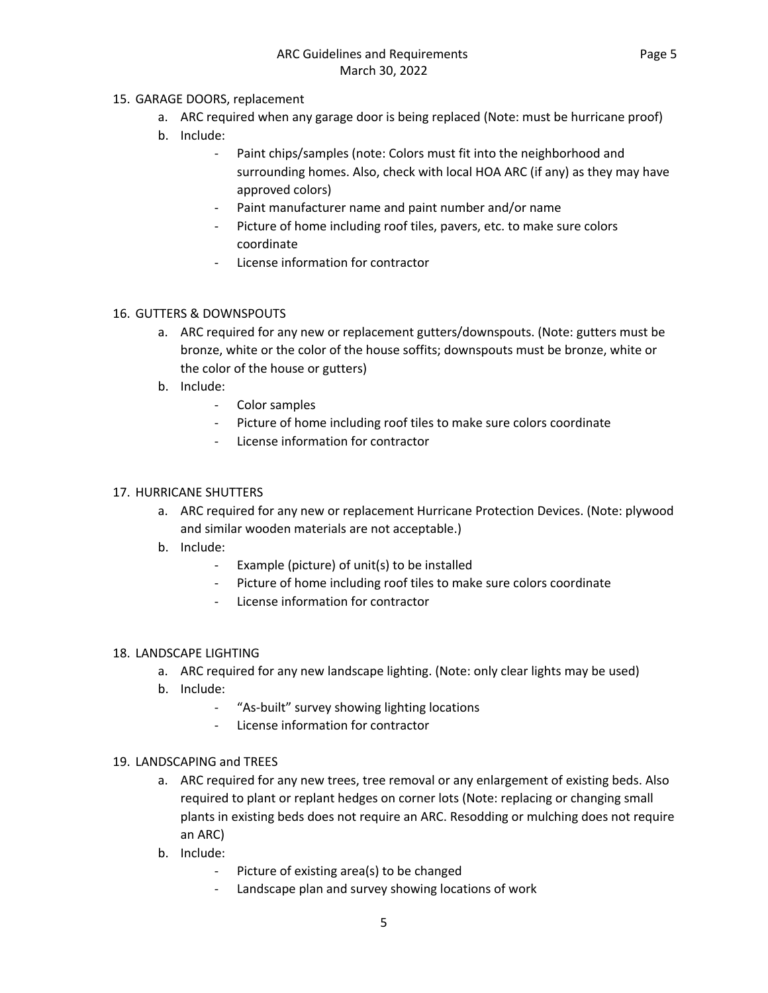## 15. GARAGE DOORS, replacement

- a. ARC required when any garage door is being replaced (Note: must be hurricane proof)
- b. Include:
	- Paint chips/samples (note: Colors must fit into the neighborhood and surrounding homes. Also, check with local HOA ARC (if any) as they may have approved colors)
	- Paint manufacturer name and paint number and/or name
	- Picture of home including roof tiles, pavers, etc. to make sure colors coordinate
	- License information for contractor

### 16. GUTTERS & DOWNSPOUTS

- a. ARC required for any new or replacement gutters/downspouts. (Note: gutters must be bronze, white or the color of the house soffits; downspouts must be bronze, white or the color of the house or gutters)
- b. Include:
	- Color samples
	- Picture of home including roof tiles to make sure colors coordinate
	- License information for contractor

### 17. HURRICANE SHUTTERS

- a. ARC required for any new or replacement Hurricane Protection Devices. (Note: plywood and similar wooden materials are not acceptable.)
- b. Include:
	- Example (picture) of unit(s) to be installed
	- Picture of home including roof tiles to make sure colors coordinate
	- License information for contractor

### 18. LANDSCAPE LIGHTING

- a. ARC required for any new landscape lighting. (Note: only clear lights may be used)
- b. Include:
	- "As-built" survey showing lighting locations
	- License information for contractor

### 19. LANDSCAPING and TREES

- a. ARC required for any new trees, tree removal or any enlargement of existing beds. Also required to plant or replant hedges on corner lots (Note: replacing or changing small plants in existing beds does not require an ARC. Resodding or mulching does not require an ARC)
- b. Include:
	- Picture of existing area(s) to be changed
	- Landscape plan and survey showing locations of work

5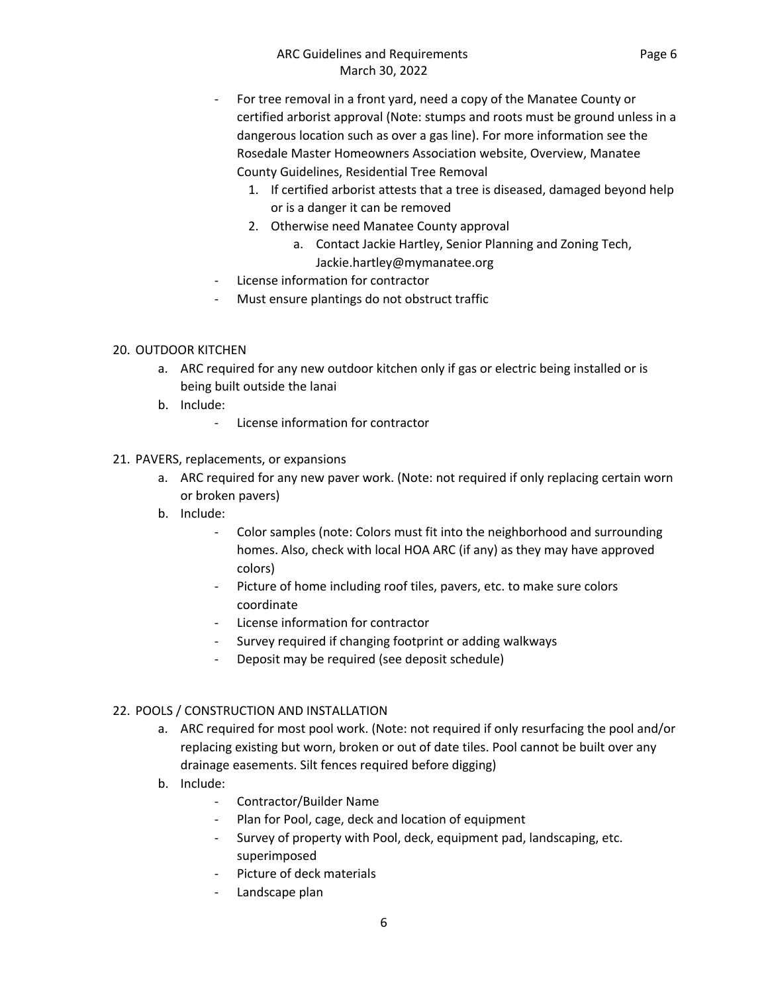- For tree removal in a front yard, need a copy of the Manatee County or certified arborist approval (Note: stumps and roots must be ground unless in a dangerous location such as over a gas line). For more information see the Rosedale Master Homeowners Association website, Overview, Manatee County Guidelines, Residential Tree Removal
	- 1. If certified arborist attests that a tree is diseased, damaged beyond help or is a danger it can be removed
	- 2. Otherwise need Manatee County approval
		- a. Contact Jackie Hartley, Senior Planning and Zoning Tech,
		- Jackie.hartley@mymanatee.org
- License information for contractor
- Must ensure plantings do not obstruct traffic

# 20. OUTDOOR KITCHEN

- a. ARC required for any new outdoor kitchen only if gas or electric being installed or is being built outside the lanai
- b. Include:
	- License information for contractor

# 21. PAVERS, replacements, or expansions

- a. ARC required for any new paver work. (Note: not required if only replacing certain worn or broken pavers)
- b. Include:
	- Color samples (note: Colors must fit into the neighborhood and surrounding homes. Also, check with local HOA ARC (if any) as they may have approved colors)
	- Picture of home including roof tiles, pavers, etc. to make sure colors coordinate
	- License information for contractor
	- Survey required if changing footprint or adding walkways
	- Deposit may be required (see deposit schedule)

# 22. POOLS / CONSTRUCTION AND INSTALLATION

- a. ARC required for most pool work. (Note: not required if only resurfacing the pool and/or replacing existing but worn, broken or out of date tiles. Pool cannot be built over any drainage easements. Silt fences required before digging)
- b. Include:
	- Contractor/Builder Name
	- Plan for Pool, cage, deck and location of equipment
	- Survey of property with Pool, deck, equipment pad, landscaping, etc. superimposed
	- Picture of deck materials
	- Landscape plan